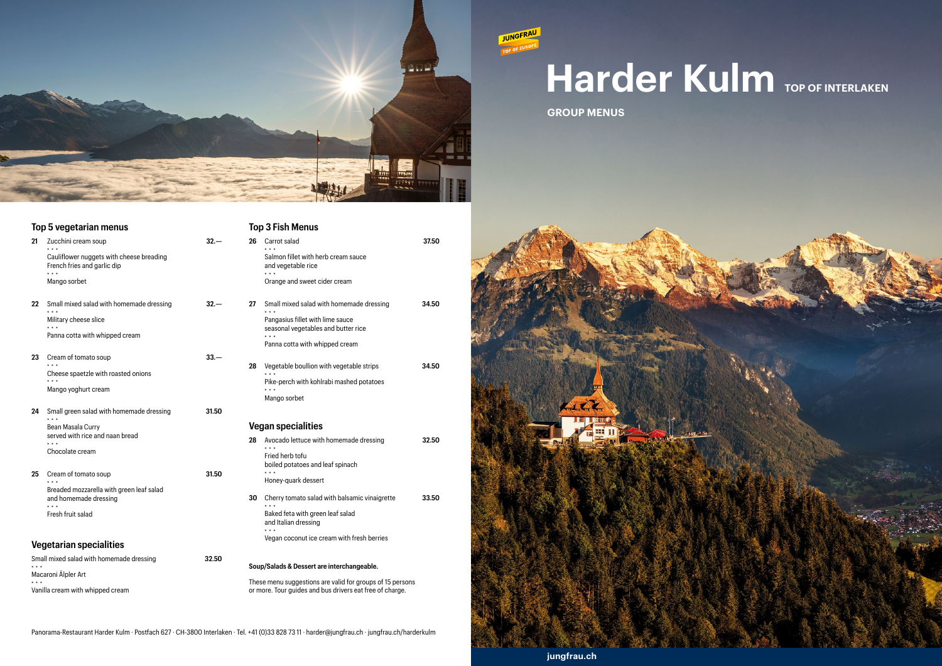

# **Harder Kulm TOP OF INTERLAKEN**

**jungfrau.ch**

**GROUP MENUS**

**JUNGFRAU** 



|                                  | Top 5 vegetarian menus                                                                                         |        |    | <b>Top 3 Fisl</b>                                               |
|----------------------------------|----------------------------------------------------------------------------------------------------------------|--------|----|-----------------------------------------------------------------|
| 21                               | Zucchini cream soup<br>Cauliflower nuggets with cheese breading<br>French fries and garlic dip<br>Mango sorbet | $32 -$ | 26 | Carrot s<br>$\star \star \star$<br>Salmon<br>and veg<br>Orange  |
| 22                               | Small mixed salad with homemade dressing<br>Military cheese slice<br>Panna cotta with whipped cream            | $32 -$ | 27 | Small m<br>$* * *$<br>Pangas<br>season<br>* * *<br>Panna c      |
| 23                               | Cream of tomato soup<br>Cheese spaetzle with roasted onions<br>Mango yoghurt cream                             | $33 -$ | 28 | Vegetal<br>* * *<br>Pike-pe<br>$\star$ $\star$ $\star$<br>Mango |
| 24                               | Small green salad with homemade dressing                                                                       | 31.50  |    |                                                                 |
|                                  | Bean Masala Curry                                                                                              |        |    | Vegan sp                                                        |
|                                  | served with rice and naan bread<br>Chocolate cream                                                             |        | 28 | Avocad<br>$* * *$<br>Fried he<br>boiled p                       |
| 25                               | Cream of tomato soup<br>$\star$ $\star$ $\star$                                                                | 31.50  |    | Honey-                                                          |
|                                  | Breaded mozzarella with green leaf salad<br>and homemade dressing<br>Fresh fruit salad                         |        | 30 | Cherry<br><b>Baked f</b><br>and Ital<br>$* * *$                 |
|                                  | <b>Vegetarian specialities</b>                                                                                 |        |    | Vegan d                                                         |
|                                  | Small mixed salad with homemade dressing                                                                       | 32.50  |    | Soup/Salads                                                     |
|                                  | Macaroni Älpler Art                                                                                            |        |    | These menu:                                                     |
| Vanilla cream with whipped cream |                                                                                                                |        |    | or more. Tour                                                   |

These menu suggestions are valid for groups of 15 persons or more. Tour guides and bus drivers eat free of charge.

Panorama-Restaurant Harder Kulm · Postfach 627 · CH-3800 Interlaken · Tel. +41 (0)33 828 73 11 · harder@jungfrau.ch · jungfrau.ch/harderkulm

|    | <b>Top 3 Fish Menus</b>                                                 |       |
|----|-------------------------------------------------------------------------|-------|
| 26 | Carrot salad                                                            | 37.50 |
|    | Salmon fillet with herb cream sauce<br>and vegetable rice               |       |
|    | Orange and sweet cider cream                                            |       |
| 27 | Small mixed salad with homemade dressing                                | 34.50 |
|    | Pangasius fillet with lime sauce<br>seasonal vegetables and butter rice |       |
|    | Panna cotta with whipped cream                                          |       |
| 28 | Vegetable boullion with vegetable strips<br>$***$                       | 34.50 |
|    | Pike-perch with kohlrabi mashed potatoes                                |       |
|    | Mango sorbet                                                            |       |
|    | <b>Vegan specialities</b>                                               |       |
| 28 | Avocado lettuce with homemade dressing                                  | 32.50 |
|    | Fried herb tofu<br>boiled potatoes and leaf spinach                     |       |
|    | Honey-quark dessert                                                     |       |
| 30 | Cherry tomato salad with balsamic vinaigrette                           | 33.50 |
|    | Baked feta with green leaf salad                                        |       |

lian dressing coconut ice cream with fresh berries

**s & Dessert are interchangeable.**